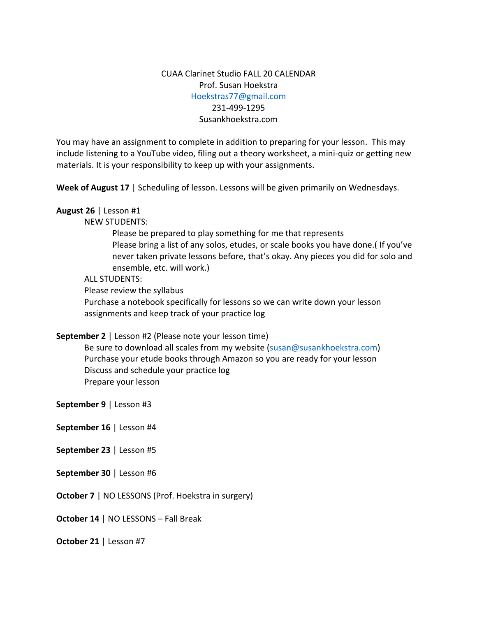## CUAA Clarinet Studio FALL 20 CALENDAR Prof. Susan Hoekstra Hoekstras77@gmail.com 231-499-1295 Susankhoekstra.com

You may have an assignment to complete in addition to preparing for your lesson. This may include listening to a YouTube video, filing out a theory worksheet, a mini-quiz or getting new materials. It is your responsibility to keep up with your assignments.

**Week of August 17** | Scheduling of lesson. Lessons will be given primarily on Wednesdays.

## **August 26** | Lesson #1

NEW STUDENTS:

Please be prepared to play something for me that represents Please bring a list of any solos, etudes, or scale books you have done.( If you've never taken private lessons before, that's okay. Any pieces you did for solo and ensemble, etc. will work.)

## ALL STUDENTS:

Please review the syllabus

Purchase a notebook specifically for lessons so we can write down your lesson assignments and keep track of your practice log

## **September 2** | Lesson #2 (Please note your lesson time)

Be sure to download all scales from my website (susan@susankhoekstra.com) Purchase your etude books through Amazon so you are ready for your lesson Discuss and schedule your practice log Prepare your lesson

**September 9** | Lesson #3

**September 16** | Lesson #4

- **September 23** | Lesson #5
- **September 30** | Lesson #6

**October 7** | NO LESSONS (Prof. Hoekstra in surgery)

**October 14** | NO LESSONS – Fall Break

**October 21** | Lesson #7